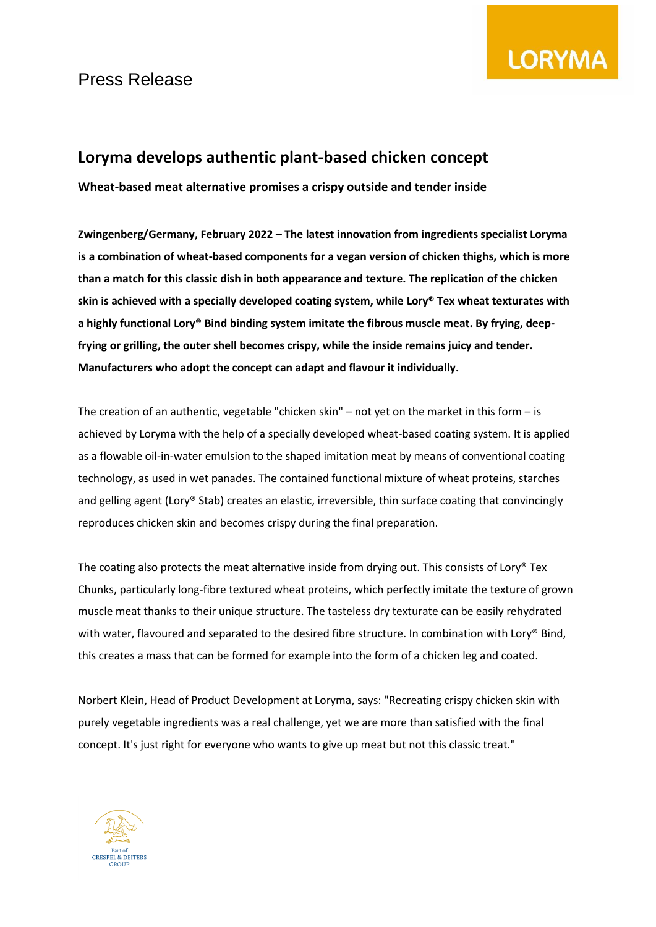

## **Loryma develops authentic plant-based chicken concept**

**Wheat-based meat alternative promises a crispy outside and tender inside**

**Zwingenberg/Germany, February 2022 – The latest innovation from ingredients specialist Loryma is a combination of wheat-based components for a vegan version of chicken thighs, which is more than a match for this classic dish in both appearance and texture. The replication of the chicken skin is achieved with a specially developed coating system, while Lory® Tex wheat texturates with a highly functional Lory® Bind binding system imitate the fibrous muscle meat. By frying, deepfrying or grilling, the outer shell becomes crispy, while the inside remains juicy and tender. Manufacturers who adopt the concept can adapt and flavour it individually.**

The creation of an authentic, vegetable "chicken skin" – not yet on the market in this form – is achieved by Loryma with the help of a specially developed wheat-based coating system. It is applied as a flowable oil-in-water emulsion to the shaped imitation meat by means of conventional coating technology, as used in wet panades. The contained functional mixture of wheat proteins, starches and gelling agent (Lory® Stab) creates an elastic, irreversible, thin surface coating that convincingly reproduces chicken skin and becomes crispy during the final preparation.

The coating also protects the meat alternative inside from drying out. This consists of Lory® Tex Chunks, particularly long-fibre textured wheat proteins, which perfectly imitate the texture of grown muscle meat thanks to their unique structure. The tasteless dry texturate can be easily rehydrated with water, flavoured and separated to the desired fibre structure. In combination with Lory® Bind, this creates a mass that can be formed for example into the form of a chicken leg and coated.

Norbert Klein, Head of Product Development at Loryma, says: "Recreating crispy chicken skin with purely vegetable ingredients was a real challenge, yet we are more than satisfied with the final concept. It's just right for everyone who wants to give up meat but not this classic treat."